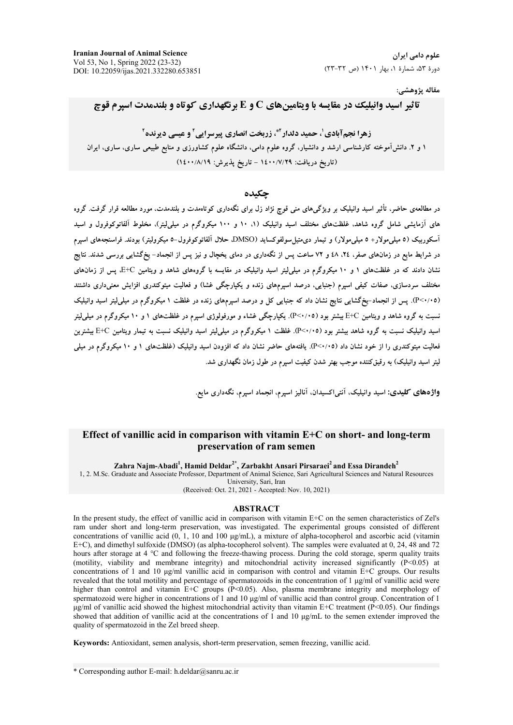مقاله پژوهشي:

# $\bf{C}$  تاثیر اسید وانیلیک در مقایسه با ویتامینهای  $\bf{C}$  و  $\bf{E}$  برنگهداری کوتاه و بلندمدت اسپرم قوچ

**زهرا نجمآبادی'، حمید دلدار'\*، زربخت انصاری پیرسرایی' و عیسی دیرنده' ۱ و ۲**. دانش۱موخته کارشناسی ارشد و دانشیار، گروه علوم دامی، دانشگاه علوم کشاورزی و منابع طبیعی ساری، ساری، ایران (تاريخ دريافت: ١٤٠٠/٧/٢٩ - تاريخ يذيرش: ١٤٠٠/٨/١٩)

#### چکیده

در مطالعهی حاضر، تاثیر اسید وانیلیک بر ویژگیهای منی قوچ نژاد زل برای نگهداری کوتاهمدت و بلندمدت، مورد مطالعه قرار گرفت. گروه های آزمایشی شامل گروه شاهد، غلظتهای مختلف اسید وانیلیک (۱، ۱۰ و ۱۰۰ میکروگرم در میل<sub>م</sub>ایتر). مخلوط آلفاتوکوفرول و اسید أسكوربيک (٥ ميلي مولار + ٥ ميلي مولار) و تيمار دىمتيل سولفوكسايد (DMSO، حلال ألفاتوكوفرول–٥ ميكروليتر) بودند. فراسنجههاى اسپرم در شرایط مایع در زمان.های صفر، ۲٤، ٤٨ و ۷۲ ساعت پس از نگهداری در دمای یخچال و نیز پس از انجماد– یخگشایی بررسی شدند. نتایج نشان دادند که در غلظتهای ۱ و ۱۰ میکروگرم در میلی[یتر اسید وانیلیک در مقایسه با گروههای شاهد و ویتامین E+C پس از زمانهای مختلف سردسازی، صفات کیفی اسپرم (جنبایی، درصد اسپرمهای زنده و یکپارچگی غشا) و فعالیت میتوکندری افزایش معنیداری داشتند (P<^+0. پس از انجماد–یخگشایی نتایج نشان داد که جنبایی کل و درصد اسپرمهای زنده در غلظت ۱ میکروگرم در میل<sub>م</sub>لیتر اسید وانیلیک نسبت به گروه شاهد و ویتامین E+C بیشتر بود (۲۰/۰**۰**). یکپارچگی غشاء و مورفولوژی اسپرم در غلظتهای ۱ و ۱۰ میکروگرم در میلی[یتر سید وانیلیک نسبت به گروه شاهد بیشتر بود (P<۰/۰۵). ظظت ۱ میکروگرم در میلی[یتر اسید وانیلیک نسبت به تیمار ویتامین E+C بیشترین فعالیت میتوکندری را از خود نشان داد (۲٬۰/۰۵). یافتههای حاضر نشان داد که افزودن اسید وانیلیک (غلظتهای ۱ و ۱۰ میکروگرم در میلی لیتر اسید وانیلیک) به رقیقکننده موجب بهتر شدن کیفیت اسپرم در طول زمان نگهداری شد.

و**اژههای کلیدی:** اسید وانیلیک، آنتی|کسیدان، آنالیز اسپرم، انجماد اسپرم، نگهداری مایع

# **Effect of vanillic acid in comparison with vitamin E+C on short- and long-term preservation of ram semen**

**Zahra Najm-Abadi<sup>1</sup> , Hamid Deldar2\*, Zarbakht Ansari Pirsaraei<sup>2</sup>and Essa Dirandeh<sup>2</sup>**

1, 2. M.Sc. Graduate and Associate Professor, Department of Animal Science, Sari Agricultural Sciences and Natural Resources University, Sari, Iran

(Received: Oct. 21, 2021 - Accepted: Nov. 10, 2021)

#### **ABSTRACT**

In the present study, the effect of vanillic acid in comparison with vitamin E+C on the semen characteristics of Zel's ram under short and long-term preservation, was investigated. The experimental groups consisted of different concentrations of vanillic acid (0, 1, 10 and 100 μg/mL), a mixture of alpha-tocopherol and ascorbic acid (vitamin E+C), and dimethyl sulfoxide (DMSO) (as alpha-tocopherol solvent). The samples were evaluated at 0, 24, 48 and 72 hours after storage at 4 °C and following the freeze-thawing process. During the cold storage, sperm quality traits (motility, viability and membrane integrity) and mitochondrial activity increased significantly  $(P<0.05)$  at concentrations of 1 and 10 μg/ml vanillic acid in comparison with control and vitamin E+C groups. Our results revealed that the total motility and percentage of spermatozoids in the concentration of 1 μg/ml of vanillic acid were higher than control and vitamin E+C groups  $(P<0.05)$ . Also, plasma membrane integrity and morphology of spermatozoid were higher in concentrations of 1 and 10 μg/ml of vanillic acid than control group. Concentration of 1 μg/ml of vanillic acid showed the highest mitochondrial activity than vitamin E+C treatment ( $\hat{P}$ <0.05). Our findings showed that addition of vanillic acid at the concentrations of 1 and 10  $\mu$ g/mL to the semen extender improved the quality of spermatozoid in the Zel breed sheep.

**Keywords:** Antioxidant, semen analysis, short-term preservation, semen freezing, vanillic acid.

\* Corresponding author E-mail: h.deldar@sanru.ac.ir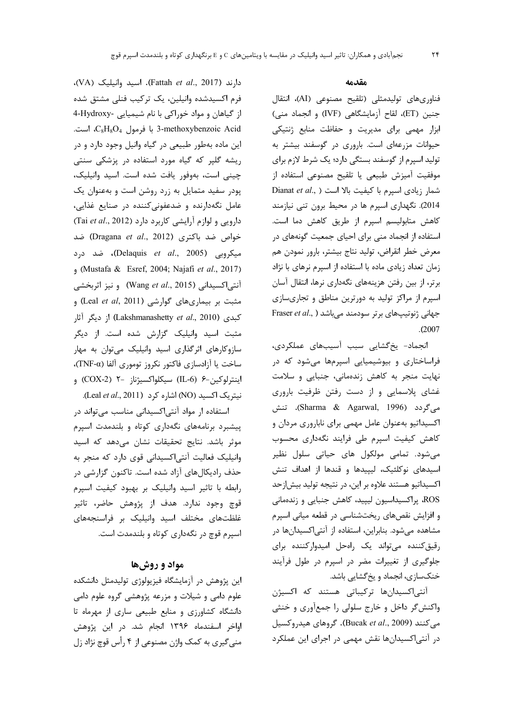دارند (Fattah et al., 2017). اسيد وانيليک (VA)، فرم اکسیدشده وانیلین، یک ترکیب فنلی مشتق شده از گیاهان و مواد خوراکی با نام شیمیایی -Hydroxy-3-methoxybenzoic Acid با فرمول C<sub>8</sub>H<sub>8</sub>O<sub>4</sub>، است. این ماده بهطور طبیعی در گیاه وانیل وجود دارد و در ریشه گلپر که گیاه مورد استفاده در پزشکی سنتی چینی است، بهوفور یافت شده است. اسید وانیلیک، پودر سفید متمایل به زرد روشن است و بهعنوان یک عامل نگهدارنده و ضدعفونی کننده در صنایع غذایی، دارویی و لوازم آرایشی کاربرد دارد (Tai et al., 2012) خواص ضد باكترى (Dragana et al., 2012) ضد میکروبی (Delaquis *et al.*, 2005)، ضد درد (Mustafa & Esref, 2004; Najafi et al., 2017) آنتی|کسیدانی (Wang et al., 2015) و نیز اثربخشی مثبت بر بیماریهای گوارشی (Leal et al, 2011) و کیدی (Lakshmanashetty et al., 2010) از دیگر آثار مثبت اسید وانیلیک گزارش شده است. از دیگر سازوکارهای اثرگذاری اسید وانیلیک می توان به مهار ساخت یا آزادسازی فاکتور نکروز توموری آلفا (TNF-α)، اينترلوكين-۶ (IL-6) سيكلواكسيژناز -۲ (COX-2) و نيتريك اكسيد (NO) اشاره كرد (Leal et al., 2011).

استفاده ار مواد آنتی اکسیدانی مناسب می تواند در پیشبرد برنامههای نگهداری کوتاه و بلندمدت اسپرم موثر باشد. نتایج تحقیقات نشان میدهد که اسید وانیلیک فعالیت آنتی اکسیدانی قوی دارد که منجر به حذف رادیکالهای آزاد شده است. تاکنون گزارشی در , ابطه با تاثير اسيد وانيليک بر بهبود كيفيت اسپرم قوچ وجود ندارد. هدف از پژوهش حاضر، تاثیر غلظتهای مختلف اسید وانیلیک بر فراسنجههای اسپرم قوچ در نگهداری کوتاه و بلندمدت است.

### مواد و روشها

این پژوهش در آزمایشگاه فیزیولوژی تولیدمثل دانشکده علوم دامی و شیلات و مزرعه پژوهشی گروه علوم دامی دانشگاه کشاورزی و منابع طبیعی ساری از مهرماه تا اواخر اسفندماه ۱۳۹۶ انجام شد. در این پژوهش منی گیری به کمک واژن مصنوعی از ۴ رأس قوچ نژاد زل

#### مقدمه

 $\mathsf{Y}\mathsf{F}$ 

فناوریهای تولیدمثلی (تلقیح مصنوعی (AI)، انتقال جنين (ET)، لقاح أزمايشگاهي (IVF) و انجماد مني) ابزار مهمی برای مدیریت و حفاظت منابع ژنتیکی حیوانات مزرعهای است. باروری در گوسفند بیشتر به تولید اسپرم از گوسفند بستگی دارد؛ یک شرط لازم برای موفقيت آميزش طبيعي يا تلقيح مصنوعي استفاده از Dianat et al., ) سيرم با كيفيت بالا است ( ..Dianat et al 2014). نگهداری اسپرم ها در محیط برون تنی نیازمند كاهش متابوليسم اسيرم از طريق كاهش دما است. استفاده از انجماد منی برای احیای جمعیت گونههای در معرض خطر انقراض، توليد نتاج بيشتر، بارور نمودن هم زمان تعداد زیادی ماده با استفاده از اسپرم نرهای با نژاد برتر، از بین رفتن هزینههای نگهداری نرها، انتقال آسان اسپرم از مراکز تولید به دورترین مناطق و تجاریسازی Fraser et al., ) جهانی ژنوتیپهای برتر سودمند میباشد  $. (2007$ 

انجماد- يخ گشايى سبب آسيبهاى عملكردى، فراساختاری و بیوشیمیایی اسپرمها میشود که در نهایت منجر به کاهش زندهمانی، جنبایی و سلامت غشای پلاسمایی و از دست رفتن ظرفیت باروری میگردد (Sharma & Agarwal, 1996). تنش اکسیداتیو بهعنوان عامل مهمی برای ناباروری مردان و کاهش کیفیت اسپرم طی فرایند نگهداری محسوب می شود. تمامی مولکول های حیاتی سلول نظیر اسیدهای نوکلئیک، لیپیدها و قندها از اهداف تنش اکسیداتیو هستند علاوه بر این، در نتیجه تولید بیش|زحد ROS، پراکسیداسیون لیپید، کاهش جنبایی و زندهمانی و افزایش نقصهای ریختشناسی در قطعه میانی اسپرم مشاهده میشود. بنابراین، استفاده از آنتیاکسیدانها در رقیق کننده می تواند یک راهحل امیدوارکننده برای جلوگیری از تغییرات مضر در اسپرم در طول فرآیند خنکسازی، انجماد و یخ گشایی باشد.

آنتی|کسیدانها ترکیباتی هستند که اکسیژن واکنش گر داخل و خارج سلولی را جمعآوری و خنثی می کنند (Bucak et al., 2009). گروهای هیدروکسیل در آنتی|کسیدانها نقش مهمی در اجرای این عملکرد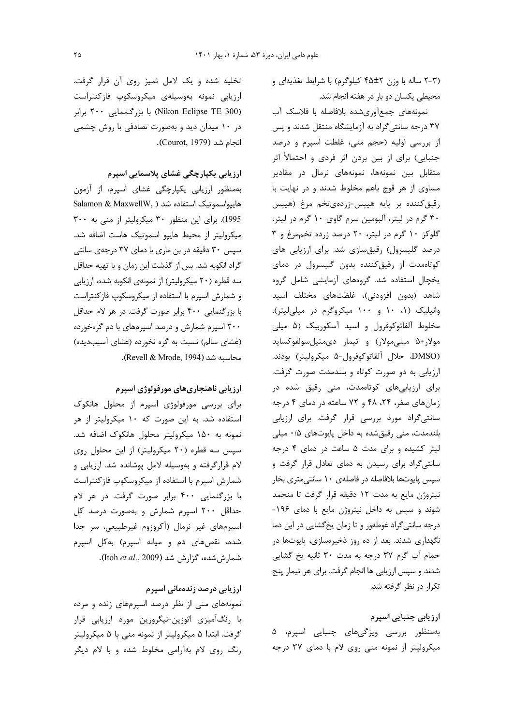(۲-۳ ساله با وزن ۴۵±۴ کیلوگرم) با شرایط تغذیهای و محیطی یکسان دو بار در هفته انجام شد.

نمونههای جمع آوریشده بلافاصله با فلاسک آب ۳۷ درجه سانتی گراد به آزمایشگاه منتقل شدند و پس از بررسی اولیه (حجم منی، غلظت اسپرم و درصد جنبایی) برای از بین بردن اثر فردی و احتمالاً اثر متقابل بین نمونهها، نمونههای نرمال در مقادیر مساوی از هر قوچ باهم مخلوط شدند و در نهایت با رقيق كننده بر پايه هيپس-زردهى تخم مرغ (هيپس ۳۰ گرم در لیتر، آلبومین سرم گاوی ۱۰ گرم در لیتر، گلوکز ۱۰ گرم در لیتر، ۲۰ درصد زرده تخم مرغ و ۳ درصد گلیسرول) رقیقسازی شد. برای ارزیابی های کوتاهمدت از رقیق کننده بدون گلیسرول در دمای یخچال استفاده شد. گروههای آزمایشی شامل گروه شاهد (بدون افزودنی)، غلظتهای مختلف اسید وانیلیک (۱، ۱۰ و ۱۰۰ میکروگرم در میلی لیتر)، مخلوط آلفاتوکوفرول و اسید آسکوربیک (۵ میلی مولار+۵ میلیمولار) و تیمار دیمتیلسولفوکساید (DMSO، حلال آلفاتوكوفرول-۵ ميكروليتر) بودند. ارزیابی به دو صورت کوتاه و بلندمدت صورت گرفت. برای ارزیابیهای کوتاهمدت، منی رقیق شده در زمان های صفر، ٢۴، ۴۸ و ٧٢ ساعته در دمای ۴ درجه سانتیگراد مورد بررسی قرار گرفت. برای ارزیابی بلندمدت، منی رقیقشده به داخل پایوتهای ۰/۵ میلی لیتر کشیده و برای مدت ۵ ساعت در دمای ۴ درجه سانتیگراد برای رسیدن به دمای تعادل قرار گرفت و سپس پایوتها بلافاصله در فاصلهی ۱۰ سانتی متری بخار نیتروژن مایع به مدت ١٢ دقیقه قرار گرفت تا منجمد شوند و سپس به داخل نیتروژن مایع با دمای ۱۹۶-درجه سانتیگراد غوطهور و تا زمان یخ گشایی در این دما نگهداری شدند. بعد از ده روز ذخیرهسازی، پایوتها در حمام آب گرم ٣٧ درجه به مدت ٣٠ ثانيه يخ گشايي شدند و سپس ارزیابی ها انجام گرفت. برای هر تیمار پنج تکرار در نظر گرفته شد.

ارزیابی جنبایی اسپرم بەمنظور بررسى ويژگىھاى جنبايى اسپرم، ۵ میکرولیتر از نمونه منی روی لام با دمای ۳۷ درجه

تخلیه شده و یک لامل تمیز روی آن قرار گرفت. ارزيابي نمونه بهوسيلهى ميكروسكوپ فازكنتراست (Nikon Eclipse TE 300) با بزرگنمایی ۲۰۰ برابر در ۱۰ میدان دید و بهصورت تصادفی با روش چشمی انجام شد (Courot, 1979).

ارزیابی یکپارچگی غشای پلاسمایی اسپرم

بهمنظور ارزیابی یکپارچگی غشای اسپرم، از آزمون هايپواسموتيک استفاده شد ( Salamon & MaxwellW, 1995). برای این منظور ۳۰ میکرولیتر از منی به ۳۰۰ میکرولیتر از محیط هایپو اسموتیک هاست اضافه شد. سیس ۳۰ دقیقه در بن ماری با دمای ۳۷ درجهی سانتی گراد انکوبه شد. پس از گذشت این زمان و با تهیه حداقل سه قطره (۲۰ میکرولیتر) از نمونهی انکوبه شده، ارزیابی و شمارش اسپرم با استفاده از میکروسکوپ فازکنتراست با بزرگنمایی ۴۰۰ برابر صورت گرفت. در هر لام حداقل ۲۰۰ اسپرم شمارش و درصد اسپرمهای با دم گرهخورده (غشای سالم) نسبت به گره نخورده (غشای آسیبدیده) محاسبه شد (Revell & Mrode, 1994).

### ارزیابی ناهنجاریهای مورفولوژی اسپرم

برای بررسی مورفولوژی اسپرم از محلول هانکوک استفاده شد. به این صورت که ۱۰ میکرولیتر از هر نمونه به ۱۵۰ میکرولیتر محلول هانکوک اضافه شد. سپس سه قطره (٢٠ ميكروليتر) از اين محلول روى لام قرارگرفته و بهوسیله لامل پوشانده شد. ارزیابی و شمارش اسپرم با استفاده از میکروسکوپ فازکنتراست با بزرگنمایی ۴۰۰ برابر صورت گرفت. در هر لام حداقل ۲۰۰ اسپرم شمارش و بهصورت درصد کل اسپرمهای غیر نرمال (آکروزوم غیرطبیعی، سر جدا شده، نقصهای دم و میانه اسپرم) بهکل اسپرم شمارش شده، گزارش شد (Itoh et al., 2009).

### ارزیابی درصد زندهمانی اسپرم

نمونههای منی از نظر درصد اسپرمهای زنده و مرده با رنگآمیزی ائوزین-نیگروزین مورد ارزیابی قرار گرفت. ابتدا ۵ میکرولیتر از نمونه منی با ۵ میکرولیتر رنگ روی لام بهآرامی مخلوط شده و با لام دیگر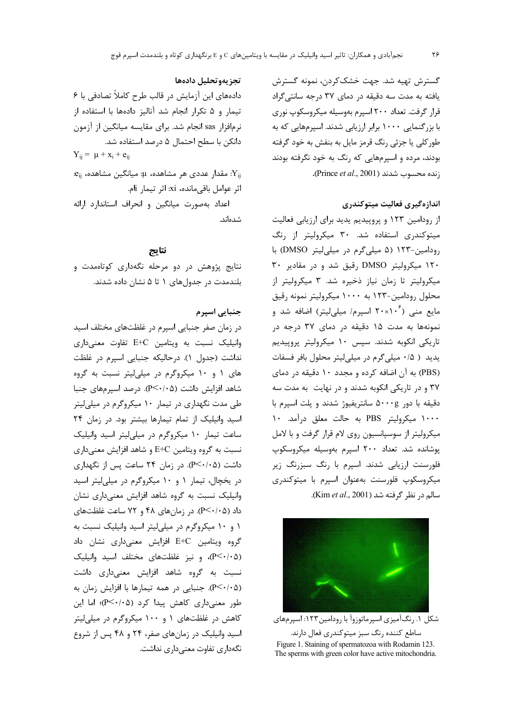گسترش تهيه شد. جهت خشککردن، نمونه گسترش یافته به مدت سه دقیقه در دمای ۳۷ درجه سانتیگراد قرار گرفت. تعداد ۲۰۰ اسپرم بهوسیله میکروسکوپ نوری با بزرگنمایی ۱۰۰۰ برابر ارزیابی شدند. اسپرمهایی که به طور کلی یا جزئی رنگ قرمز مایل به بنفش به خود گرفته بودند، مرده و اسپرمهایی که رنگ به خود نگرفته بودند زنده محسوب شدند (Prince et al., 2001).

# اندازهگیری فعالیت میتوکندری

از رودامین ۱۲۳ و پروپیدیم یدید برای ارزیابی فعالیت میتوکندری استفاده شد. ۳۰ میکرولیتر از رنگ رودامین-۱۲۳ (۵ میلی گرم در میلی لیتر DMSO) با ۱۲۰ میکرولیتر DMSO رقیق شد و در مقادیر ۳۰ میکرولیتر تا زمان نیاز ذخیره شد. ۳ میکرولیتر از محلول رودامین-۱۲۳ به ۱۰۰۰ میکرولیتر نمونه رقیق مایع منی (۲۰×۲۰ اسپرم/ میلی لیتر) اضافه شد و نمونهها به مدت ۱۵ دقیقه در دمای ۳۷ درجه در تاریکی انکوبه شدند. سپس ۱۰ میکرولیتر پروپیدیم یدید ( ۰/۵ میلی گرم در میلی لیتر محلول بافر فسفات (PBS) به آن اضافه کرده و مجدد ۱۰ دقیقه در دمای ۳۷ و در تاریکی انکوبه شدند و در نهایت به مدت سه دقیقه با دور ۵۰۰۰g سانتریفیوژ شدند و یلت اسپرم با ۱۰۰۰ میکرولیتر PBS به حالت معلق درآمد. ۱۰ میکرولیتر از سوسپانسیون روی لام قرار گرفت و با لامل پوشانده شد. تعداد ۲۰۰ اسپرم بهوسیله میکروسکوپ فلورسنت ارزیابی شدند. اسپرم با رنگ سبزرنگ زیر میکروسکوپ فلورسنت بهعنوان اسپرم با میتوکندری سالم در نظر گرفته شد (Kim et al., 2001).



شکل ۱. رنگآمیزی اسپرماتوزوآ با رودامین۱۲۳: اسپرمهای ساطع كننده رنگ سبز ميتوكندري فعال دارند. Figure 1. Staining of spermatozoa with Rodamin 123. The sperms with green color have active mitochondria.

### تجزيهوتحليل دادهها

دادههای این آزمایش در قالب طرح کاملاً تصادفی با ۶ تیمار و ۵ تکرار انجام شد آنالیز دادهها با استفاده از نرمافزار sas انجام شد. برای مقایسه میانگین از آزمون دانکن با سطح احتمال ۵ درصد استفاده شد.  $Y_{ii} = \mu + x_i + e_{ii}$ : $\mathbf{e}_{ij}$  مقدار عددی هر مشاهده،  $\mu$ : میانگین مشاهده،  $\mathbf{Y}_{ij}$ 

اثر عوامل باقى مانده، xi: اثر تيمار ji. اعداد بهصورت میانگین و انحراف استاندارد ارائه شدەاند.

#### نتايج

نتایج پژوهش در دو مرحله نگهداری کوتاهمدت و بلندمدت در جدولهای ۱ تا ۵ نشان داده شدند.

# جنبایی اسپرم

در زمان صفر جنبایی اسپرم در غلظتهای مختلف اسید وانیلیک نسبت به ویتامین E+C تفاوت معنیداری نداشت (جدول ۱). درحالیکه جنبایی اسپرم در غلظت های ۱ و ۱۰ میکروگرم در میلی لیتر نسبت به گروه شاهد افزایش داشت (P<۰/۰۵). درصد اسیر مهای جنبا طی مدت نگهداری در تیمار ۱۰ میکروگرم در میلی لیتر اسید وانیلیک از تمام تیمارها بیشتر بود. در زمان ۲۴ ساعت تیمار ١٠ میکروگرم در میلی لیتر اسید وانیلیک نسبت به گروه ویتامین E+C و شاهد افزایش معنیداری داشت (P<۰/۰۵). در زمان ۲۴ ساعت پس از نگهداری در یخچال، تیمار ۱۰ و ۱۰ میکروگرم در میلی لیتر اسید وانیلیک نسبت به گروه شاهد افزایش معنیداری نشان داد (۶/۰/۰۵). در زمانهای ۴۸ و ۷۲ ساعت غلظتهای ١ و ١٠ ميكروگرم در ميلي ليتر اسيد وانيليک نسبت به گروه ویتامین E+C افزایش معنیداری نشان داد (P<۰/۰۵)، و نیز غلظتهای مختلف اسید وانیلیک نسبت به گروه شاهد افزایش معنیداری داشت (P<۰/۰۵). جنبایی در همه تیمارها با افزایش زمان به طور معنى دارى كاهش پيدا كرد (P<۰/۰۵)؛ اما اين کاهش در غلظتهای ۱ و ۱۰۰ میکروگرم در میلی لیتر اسید وانیلیک در زمانهای صفر، ۲۴ و ۴۸ پس از شروع نگەدارى تفاوت معنى دارى نداشت.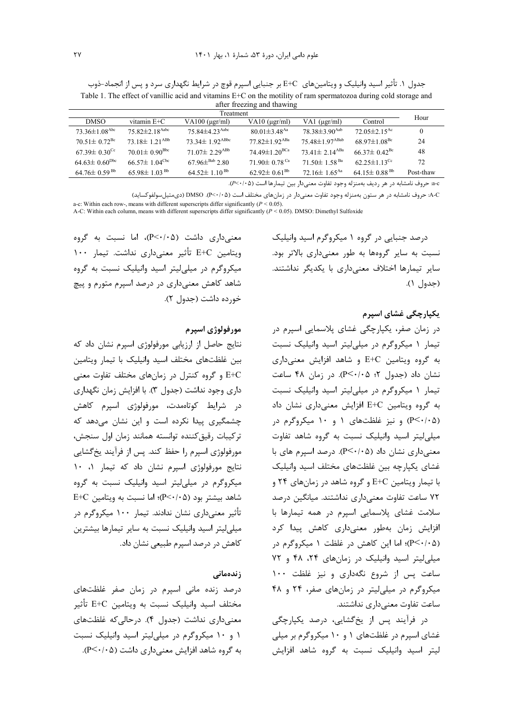جدول ۱. تأثیر اسید وانیلیک و ویتامینهای E+C بر جنبایی اسپرم قوچ در شرایط نگهداری سرد و پس از انجماد-ذوب Table 1. The effect of vanillic acid and vitamins E+C on the motility of ram spermatozoa during cold storage and after freezing and thawing

| Treatment                       |                                  |                                  |                                 |                                  |                                |           |
|---------------------------------|----------------------------------|----------------------------------|---------------------------------|----------------------------------|--------------------------------|-----------|
| <b>DMSO</b>                     | vitamin $E+C$                    | $VA100$ ( $\mu$ gr/ml)           | $VA10$ ( $\mu$ gr/ml)           | VA1 $(\mu$ gr/ml)                | Control                        | Hour      |
| $73.36 \pm 1.08$ <sup>Abc</sup> | $75.82 \pm 2.18$ <sup>Aabc</sup> | $75.84 \pm 4.23$ <sup>Aabc</sup> | $80.01 \pm 3.48$ <sup>Aa</sup>  | $78.38 \pm 3.90$ <sup>Aab</sup>  | $72.05 \pm 2.15$ <sup>Ac</sup> | $\theta$  |
| $70.51 \pm 0.72$ <sup>Bc</sup>  | $73.18 \pm 1.21$ <sup>ABb</sup>  | $73.34 \pm 1.92$ <sup>ABbc</sup> | $77.82 \pm 1.92$ <sup>ABa</sup> | $75.48 \pm 1.97$ <sup>ABab</sup> | $68.97 \pm 1.08$ <sup>Bc</sup> | 24        |
| $67.39 \pm 0.30$ <sup>Cc</sup>  | $70.01 \pm 0.90^{\rm Bbc}$       | $71.07\pm 2.29$ <sup>ABb</sup>   | 74.49 $\pm$ 1.20 <sup>BCa</sup> | $73.41 \pm 2.14$ <sup>ABa</sup>  | $66.37\pm0.42$ <sup>Bc</sup>   | 48        |
| $64.63 \pm 0.60^{Dbc}$          | $66.57 \pm 1.04^{\text{Cbc}}$    | $67.96\pm^{Bab}$ 2.80            | 71.90 $\pm$ 0.78 <sup>Ca</sup>  | $71.50 \pm 1.58$ <sup>Ba</sup>   | $62.25 \pm 1.13$ <sup>Cc</sup> | 72        |
| $64.76\pm0.59^{Bb}$             | 65.98 $\pm$ 1.03 <sup>Bb</sup>   | $64.52 \pm 1.10^{ Bb}$           | 62.92 $\pm$ 0.61 <sup>Bb</sup>  | 72.16 $\pm$ 1.65 <sup>Aa</sup>   | 64.15 $\pm$ 0.88 <sup>Bb</sup> | Post-thaw |
|                                 |                                  |                                  |                                 |                                  |                                |           |

a−c حروف نامشابه در هر رديف بهمنزله وجود تفاوت معنىدار بين تيمارها است (A<٠/٠۵).

A-C: حروف نامشابه در هر ستون بهمنزله وجود تفاوت معنىدار در زمانهاى مختلف است (P<٠/٠۵). DMSO (دىمتيل سولفوكسايد) a-c: Within each row-, means with different superscripts differ significantly  $(P < 0.05)$ .<br>A-C: Within each column, means with different superscripts differ significantly  $(P < 0.05)$ . DMSO: Dimethyl Sulfoxide

درصد جنبایی در گروه ۱ میکروگرم اسید وانیلیک نسبت به سایر گروهها به طور معنیداری بالاتر بود. سایر تیمارها اختلاف معنیداری با یکدیگر نداشتند. (جدول ١).

یکپارچگی غشای اسپرم

در زمان صفر، یکپارچگی غشای پلاسمایی اسپرم در تیمار ۱ میکروگرم در میلی لیتر اسید وانیلیک نسبت به گروه ویتامین E+C و شاهد افزایش معنیداری  $P<\cdot/2$ ، نشان داد (جدول ۲، ۲۰/۰۵). در زمان ۴۸ ساعت تیمار ۱ میکروگرم در میلی لیتر اسید وانیلیک نسبت به گروه ویتامین E+C افزایش معنیداری نشان داد (P<۰/۰۵) و نیز غلظتهای ۱ و ۱۰ میکروگرم در میلی لیتر اسید وانیلیک نسبت به گروه شاهد تفاوت معنی داری نشان داد (P<۰/۰۵). درصد اسپرم های با غشای یکپارچه بین غلظتهای مختلف اسید وانیلیک با تیمار ویتامین E+C و گروه شاهد در زمانهای ۲۴ و ۷۲ ساعت تفاوت معنیداری نداشتند. میانگین درصد سلامت غشای پلاسمایی اسپرم در همه تیمارها با افزایش زمان بهطور معنیداری کاهش پیدا کرد (P < ⋅ / ٠>P)؛ اما این کاهش در غلظت ۱ میکروگرم در میلی لیتر اسید وانیلیک در زمانهای ۲۴، ۴۸ و ۷۲ ساعت پس از شروع نگهداری و نیز غلظت ١٠٠ میکروگرم در میلے لیتر در زمان های صفر، ۲۴ و ۴۸ ساعت تفاوت معنى دارى نداشتند.

در فرآیند پس از پخ گشایی، درصد یکپارچگی غشای اسپرم در غلظتهای ۱ و ۱۰ میکروگرم بر میلی لیتر اسید وانیلیک نسبت به گروه شاهد افزایش

معنی داری داشت (P<٠/٠۵)، اما نسبت به گروه ويتامين E+C تأثير معنىدارى نداشت. تيمار ١٠٠ میکروگرم در میلی لیتر اسید وانیلیک نسبت به گروه شاهد کاهش معنیداری در درصد اسپرم متورم و پیچ خورده داشت (جدول ۲).

#### مورفولوژي اسيرم

نتایج حاصل از ارزیابی مورفولوژی اسپرم نشان داد که بين غلظتهاى مختلف اسيد وانيليك با تيمار ويتامين E+C و گروه کنترل در زمانهای مختلف تفاوت معنی داری وجود نداشت (جدول ۳). با افزایش زمان نگهداری در شرایط کوتاممدت، مورفولوژی اسپرم کاهش چشمگیری پیدا نکرده است و این نشان میدهد که تركيبات رقيق كننده توانسته همانند زمان اول سنجش، مورفولوژی اسپرم را حفظ کند. پس از فرآیند یخگشایی نتايج مورفولوژي اسيرم نشان داد كه تيمار ١، ١٠ میکروگرم در میلی لیتر اسید وانیلیک نسبت به گروه  $E+C$  شاهد بیشتر بود (P<۰/۰۵)؛ اما نسبت به ویتامین تأثیر معنیداری نشان ندادند. تیمار ۱۰۰ میکروگرم در میلی لیتر اسید وانیلیک نسبت به سایر تیمارها بیشترین کاهش در درصد اسیرم طبیعی نشان داد.

#### زندەمانى

درصد زنده مانی اسپرم در زمان صفر غلظتهای مختلف اسید وانیلیک نسبت به ویتامین E+C تأثیر معنی داری نداشت (جدول ۴). در حالی که غلظتهای ۱ و ۱۰ میکروگرم در میلی لیتر اسید وانیلیک نسبت به گروه شاهد افزایش معنی داری داشت (۴<۰/۰۵).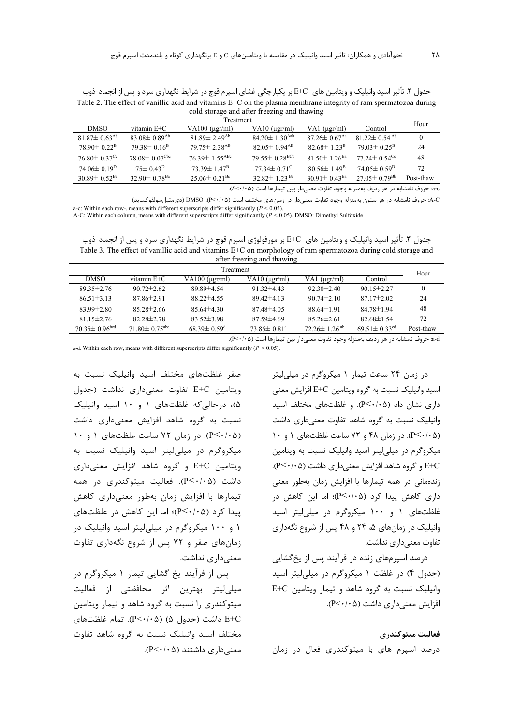جدول ۲. تأثیر اسید وانیلیک و ویتامین های E+C بر یکپارچگی غشای اسپرم قوچ در شرایط نگهداری سرد و پس از انجماد-ذوب Table 2. The effect of vanillic acid and vitamins E+C on the plasma membrane integrity of ram spermatozoa during cold storage and after freezing and thawing

| Treatment |                                |                                |                                 |                                 |                                | Hour                           |           |
|-----------|--------------------------------|--------------------------------|---------------------------------|---------------------------------|--------------------------------|--------------------------------|-----------|
|           | <b>DMSO</b>                    | vitamin $E+C$                  | $VA100$ ( $\mu$ gr/ml)          | $VA10$ ( $\mu$ gr/ml)           | $VAL$ ( $\mu$ gr/ml)           | Control                        |           |
|           | $81.87 \pm 0.63$ <sup>Ab</sup> | $83.08 \pm 0.89$ <sup>Ab</sup> | $81.89 \pm 2.49$ <sup>Ab</sup>  | 84.20 $\pm$ 1.30 <sup>Aab</sup> | $87.26 \pm 0.67$ <sup>Aa</sup> | $81.22 \pm 0.54$ <sup>Ab</sup> | $\theta$  |
|           | $78.90 \pm 0.22^{\rm B}$       | $79.38\pm0.16^{\rm B}$         | $79.75 \pm 2.38$ <sup>AB</sup>  | $82.05 \pm 0.94$ <sup>AB</sup>  | $82.68 \pm 1.23^{\rm B}$       | $79.03 \pm 0.25^{\rm B}$       | 24        |
|           | $76.80 \pm 0.37$ <sup>Cc</sup> | $78.08 \pm 0.07^{\text{Cbc}}$  | $76.39 \pm 1.55$ <sup>ABc</sup> | $79.55 \pm 0.28$ <sup>BCb</sup> | 81.50 $\pm$ 1.26 <sup>Ba</sup> | $77.24 \pm 0.54$ <sup>Cc</sup> | 48        |
|           | $74.06 \pm 0.19^{\rm D}$       | $75\pm0.43^{\rm D}$            | $73.39 \pm 1.47^{\mathrm{B}}$   | $77.34 \pm 0.71^{\circ}$        | $80.56 \pm 1.49^{\circ}$       | $74.05\pm 0.59^{\rm D}$        | 72        |
|           | $30.89 \pm 0.52$ <sup>Ba</sup> | $32.90 \pm 0.78$ <sup>Ba</sup> | $25.06 \pm 0.21$ <sup>Bc</sup>  | $32.82 \pm 1.23$ <sup>Ba</sup>  | $30.91 \pm 0.43^{\text{Ba}}$   | $27.05 \pm 0.79^{Bb}$          | Post-thaw |
|           |                                |                                |                                 |                                 |                                |                                |           |

.<br>A-C: حروف نامشابه در هر ستون بهمنزله وجود تفاوت معنىدار در زمانهاى مختلف است (P<٠/٠۵). DMSO (دىمتيل سولفوكسايد)

a-c: Within each row-, means with different superscripts differ significantly  $(P < 0.05)$ .<br>A-C: Within each column, means with different superscripts differ significantly  $(P < 0.05)$ . DMSO: Dimethyl Sulfoxide

جدول ۳. تأثیر اسید وانیلیک و ویتامین های E+C بر مورفولوژی اسپرم قوچ در شرایط نگهداری سرد و پس از انجماد–ذوب Table 3. The effect of vanillic acid and vitamins E+C on morphology of ram spermatozoa during cold storage and after freezing and thawing

| $\frac{1}{2}$                   |                                 |                               |                               |                                |                                |           |
|---------------------------------|---------------------------------|-------------------------------|-------------------------------|--------------------------------|--------------------------------|-----------|
| Treatment                       |                                 |                               |                               |                                |                                | Hour      |
| <b>DMSO</b>                     | vitamin $E+C$                   | $VA100$ ( $\mu$ gr/ml)        | $VA10$ ( $\mu$ gr/ml)         | VA1 $(\mu$ gr/ml)              | Control                        |           |
| $89.35 \pm 2.76$                | $90.72 \pm 2.62$                | 89.89 ± 4.54                  | $91.32\pm4.43$                | $92.30 \pm 2.40$               | $90.15 \pm 2.27$               | $\theta$  |
| $86.51 \pm 3.13$                | $87.86 \pm 2.91$                | $88.22 \pm 4.55$              | $89.42\pm4.13$                | $90.74 \pm 2.10$               | $87.17 \pm 2.02$               | 24        |
| $83.99 \pm 2.80$                | $85.28 \pm 2.66$                | $85.64\pm4.30$                | $87.48\pm4.05$                | $88.64 \pm 1.91$               | $84.78 \pm 1.94$               | 48        |
| $81.15 \pm 2.76$                | $82.28 \pm 2.78$                | $83.52 \pm 3.98$              | $87.59\pm4.69$                | $85.26 \pm 2.61$               | $82.68 \pm 1.54$               | 72        |
| $70.35 \pm 0.96$ <sup>bcd</sup> | $71.80 \pm 0.75$ <sup>abc</sup> | $68.39 \pm 0.59$ <sup>d</sup> | $73.85 \pm 0.81$ <sup>a</sup> | $72.26 \pm 1.26$ <sup>ab</sup> | 69.51 $\pm$ 0.33 <sup>cd</sup> | Post-thaw |

a-d حروف نامشابه در هر رديف بهمنزله وجود تفاوت معنىدار بين تيمارها است (P<٠/٠۵).

a-d: Within each row, means with different superscripts differ significantly ( $P < 0.05$ ).

صفر غلظتهای مختلف اسید وانیلیک نسبت به ويتامين E+C تفاوت معنى دارى نداشت (جدول ۵)، درحالی که غلظتهای ۱ و ۱۰ اسید وانیلیک نسبت به گروه شاهد افزایش معنیداری داشت (P<٠/٠۵). د, ;مان ٧٢ ساعت غلظتهای ١ و ١٠ میکروگرم در میلی لیتر اسید وانیلیک نسبت به ویتامین E+C و گروه شاهد افزایش معنیداری داشت (P<٠/٠۵). فعالیت میتوکندری در همه تیمارها با افزایش زمان بهطور معنیداری کاهش ییدا کرد (P<۰/۰۵)؛ اما این کاهش در غلظتهای ۱ و ۱۰۰ میکروگرم در میلی لیتر اسید وانیلیک در زمانهای صفر و ۷۲ پس از شروع نگهداری تفاوت معنے داری نداشت.

پس از فرآیند یخ گشایی تیمار ۱ میکروگرم در میلی لیتر بهترین اثر محافظتی از فعالیت میتوکندری را نسبت به گروه شاهد و تیمار ویتامین داشت (جدول ۵) (۵-/۰->P). تمام غلظتهای E+C مختلف اسید وانیلیک نسبت به گروه شاهد تفاوت  $(P<\cdot/\cdot \Delta)$  معنے داری داشتند در زمان ۲۴ ساعت تیمار ۱ میکروگرم در میلی لیتر اسید وانیلیک نسبت به گروه ویتامین E+C افزایش معنی  $P<\cdot/\cdot$ ه (۴</۰۵). و غلظتهای مختلف اسید وانیلیک نسبت به گروه شاهد تفاوت معنیداری داشت  $\theta$ ۰/۰۵). در زمان ۴۸ و ۷۲ ساعت غلظتهای ۱ و ۱۰ میکروگرم در میلی لیتر اسید وانیلیک نسبت به ویتامین E+C و گروه شاهد افزایش معنی داری داشت (P<٠/٠۵). زندهمانی در همه تیمارها با افزایش زمان بهطور معنی داری کاهش پیدا کرد (P<۰/۰۵)؛ اما این کاهش در غلظتهای ۱ و ۱۰۰ میکروگرم در میلی لیتر اسید وانیلیک در زمانهای ۵، ۲۴ و ۴۸ پس از شروع نگهداری تفاوت معنے داری نداشت.

درصد اسیرمهای زنده در فرآیند پس از یخ گشایی (جدول ۴) در غلظت ۱ میکروگرم در میلی لیتر اسید وانیلیک نسبت به گروه شاهد و تیمار ویتامین E+C  $P<\cdot/\cdot$ ۵) افزایش معنی داری داشت (۲۰/۰۵).

#### فعاليت ميتوكندري

درصد اسیرم های با میتوکندری فعال در زمان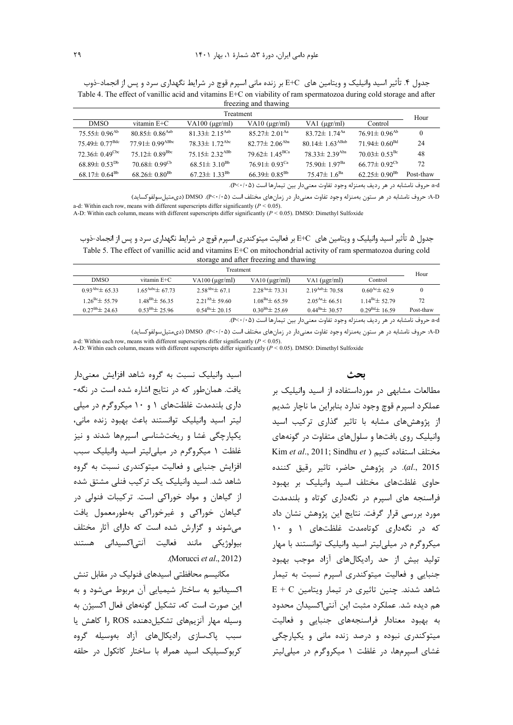| جدول ۴. تأثیر اسید وانیلیک و ویتامین های  E+C بر زنده مانی اسپرم قوچ در شرایط نگهداری سرد و پس از انجماد-ذوب          |
|-----------------------------------------------------------------------------------------------------------------------|
| Table 4. The effect of vanillic acid and vitamins $E+C$ on viability of ram spermatozoa during cold storage and after |
| freezing and thawing                                                                                                  |

| Treatment                       |                                  |                                 |                                 |                                  |                                | Hour      |
|---------------------------------|----------------------------------|---------------------------------|---------------------------------|----------------------------------|--------------------------------|-----------|
| <b>DMSO</b>                     | vitamin $E+C$                    | $VA100$ ( $\mu$ gr/ml)          | $VA10$ ( $\mu$ gr/ml)           | VA1 $(\mu$ gr/ml)                | Control                        |           |
| $75.55\pm 0.96^{Ab}$            | $80.85 \pm 0.86$ <sup>Aab</sup>  | $81.33 \pm 2.15$ <sup>Aab</sup> | $85.27 \pm 2.01$ <sup>Aa</sup>  | $83.72 \pm 1.74$ <sup>Aa</sup>   | $76.91 \pm 0.96$ <sup>Ab</sup> | $\Omega$  |
| $75.49 \pm 0.77^{\rm Bdc}$      | $77.91 \pm 0.99$ <sup>ABbc</sup> | $78.33 \pm 1.72$ <sup>Abc</sup> | $82.77 \pm 2.06$ <sup>Aba</sup> | $80.14 \pm 1.63$ <sup>ABab</sup> | $71.94 \pm 0.60^{\text{Bd}}$   | 24        |
| $72.36 \pm 0.49$ <sup>Cbc</sup> | $75.12 \pm 0.89^{\rm Bbc}$       | $75.15 \pm 2.32$ <sup>ABb</sup> | 79.62 $\pm$ 1.45 <sup>BCa</sup> | $78.33 \pm 2.39$ <sup>Aba</sup>  | $70.03 \pm 0.53$ <sup>Bc</sup> | 48        |
| $68.89 \pm 0.53^{Db}$           | $70.68 \pm 0.99$ <sup>Cb</sup>   | $68.51 \pm 3.10^{Bb}$           | 76.91 $\pm$ 0.93 <sup>Ca</sup>  | $75.90 \pm 1.97$ <sup>Ba</sup>   | $66.77 \pm 0.92^{\text{Cb}}$   | 72        |
| $68.17\pm 0.64^{\rm Bb}$        | $68.26 \pm 0.80^{\rm Bb}$        | $67.23 \pm 1.33^{\text{Bb}}$    | $66.39 \pm 0.85^{Bb}$           | 75.47 $\pm$ 1.6 <sup>Ba</sup>    | $62.25 \pm 0.90^{Bb}$          | Post-thaw |

a-d» حروف نامشابه در هر رديف بهمنزله وجود تفاوت معنى دار بين تيمارها است (٩<٠/٠٥).

A-D: حروف نامشابه در هر ستون بهمنزله وجود تفاوت معنىدار در زمانهاى مختلف است (P<٠/٠۵). DMSO (دىمتيل سولفوكسايد) a-d: Within each row, means with different superscripts differ significantly  $(P < 0.05)$ .<br>A-D: Within each column, means with different superscripts differ significantly  $(P < 0.05)$ . DMSO: Dimethyl Sulfoxide

جدول ۵. تأثیر اسید وانیلیک و ویتامین های E+C بر فعالیت میتوکندری اسپرم قوچ در شرایط نگهداری سرد و پس از انجماد-ذوب Table 5. The effect of vanillic acid and vitamins E+C on mitochondrial activity of ram spermatozoa during cold storage and after freezing and thawing

| Treatment                                                                         |                               |                              |                         |                          |                        | Hour      |
|-----------------------------------------------------------------------------------|-------------------------------|------------------------------|-------------------------|--------------------------|------------------------|-----------|
| <b>DMSO</b>                                                                       | vitamin E+C                   | VA100 $(\mu \text{gr/ml})$   | $VA10$ ( $\mu$ gr/ml)   | VA1 $(\mu$ gr/ml)        | Control                |           |
| $0.93^{\text{Abc}} \pm 65.33$                                                     | $1.65^{\text{Aabc}}\pm 67.73$ | $2.58^{\text{Abc}} \pm 67.1$ | $2.28^{Aa}$ $\pm$ 73.31 | $2.19^{Aab}$ $\pm 70.58$ | $0.60^{Ac}$ $\pm$ 62.9 | $\bf{0}$  |
| $1.26^{\text{Be}}$ $\pm$ 55.79                                                    | $1.48^{Bb}$ $\pm$ 56.35       | $2.21^{Ab} \pm 59.60$        | $1.08^{Ba}$ $\pm$ 65.59 | $2.05^{Aa} \pm 66.51$    | $1.14^{Bc} \pm 52.79$  | 72        |
| $0.27^{Bb} \pm 24.63$                                                             | $0.53^{Bb} \pm 25.96$         | $0.54^{\rm Bc} \pm 20.15$    | $0.30^{Bb} \pm 25.69$   | $0.44^{Ba}$ $\pm 30.57$  | $0.29^{Bd}$ ± 16.59    | Post-thaw |
| a-dش حروف نامشابه در هر رديف بهمنزله وجود تفاوت معنىدار بين تيمارها است (P<٠/٠۵). |                               |                              |                         |                          |                        |           |

A-D: حروف نامشابه در هر ستون بهمنزله وجود تفاوت معنىدار در زمانهاى مختلف است (P<۰/۰۵). DMSO (دىمتيلسولفوكسايد)

a-d: Within each row, means with different superscripts differ significantly ( $P < 0.05$ ). A-D: Within each column, means with different superscripts differ significantly ( $P < 0.05$ ). DMSO: Dimethyl Sulfoxide

ىحث

مطالعات مشابهی در مورداستفاده از اسید وانیلیک بر عملکرد اسيرم قوچ وجود ندارد بنابراين ما ناچار شديم از پژوهشهای مشابه با تاثیر گذاری ترکیب اسید وانیلیک روی بافتها و سلولهای متفاوت در گونههای Kim et al., 2011; Sindhu et ) مختلف استفاده كنيم al., 2015). در پژوهش حاضر، تاثیر رقیق کننده حاوی غلظتهای مختلف اسید وانیلیک بر بهبود فراسنجه های اسیرم در نگهداری کوتاه و بلندمدت مورد بررسی قرار گرفت. نتایج این پژوهش نشان داد که در نگهداری کوتاممدت غلظتهای ۱ و ۱۰ میکروگرم در میلے لیتر اسید وانیلیک توانستند با مهار تولید بیش از حد رادیکالهای آزاد موجب بهبود جنبایی و فعالیت میتوکندری اسپرم نسبت به تیمار  $E + C$  شاهد شدند. چنین تاثیری در تیمار ویتامین هم دیده شد. عملکرد مثبت این آنتیاکسیدان محدود به بهبود معنادار فراسنجههای جنبایی و فعالیت میتوکندری نبوده و درصد زنده مانی و یکپارچگی غشای اسیرمها، در غلظت ۱ میکروگرم در میلی لیتر

اسید وانیلیک نسبت به گروه شاهد افزایش معنیدار یافت. همان طور که در نتایج اشاره شده است در نگه-داری بلندمدت غلظتهای ۱ و ۱۰ میکروگرم در میلی ليتر اسيد وانيليک توانستند باعث بهبود زنده مانى، یکیارچگی غشا و ریختشناسی اسپرمها شدند و نیز غلظت ١ ميكروكرم در ميلي ليتر اسيد وانيليك سبب افزايش جنبايي و فعاليت ميتوكندري نسبت به گروه شاهد شد. اسید وانیلیک یک ترکیب فنلی مشتق شده از گیاهان و مواد خوراکی است. ترکیبات فنولی در گیاهان خوراکی و غیرخوراکی بهطورمعمول یافت میشوند و گزارش شده است که دارای آثار مختلف بیولوژیکی مانند فعالیت آنتی|کسیدانی هستند .(Morucci *et al.*, 2012)

مکانیسم محافظتی اسیدهای فنولیک در مقابل تنش اکسیداتیو به ساختار شیمیایی آن مربوط می شود و به این صورت است که، تشکیل گونههای فعال اکسیژن به وسيله مهار آنزيمهاى تشكيل دهنده ROS را كاهش يا سبب یاکسازی ,ادیکالهای آزاد بهوسیله گروه کربوکسیلیک اسید همراه با ساختار کاتکول در حلقه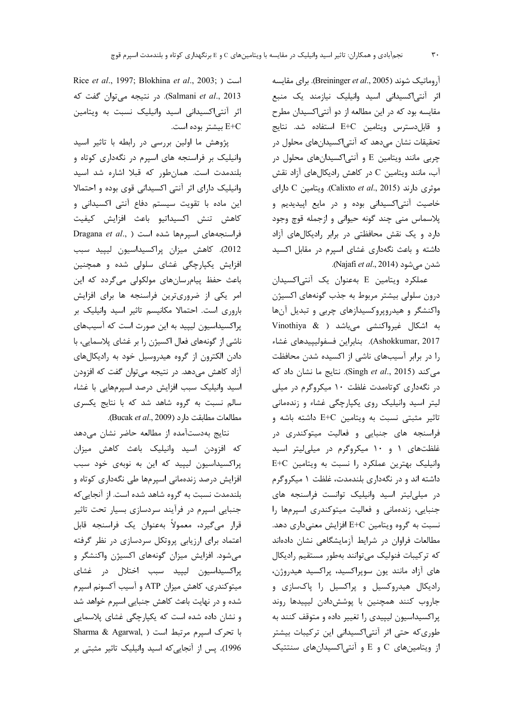آروماتیک شوند (Breininger et al., 2005). برای مقایسه اثر آنتی|کسیدانی اسید وانیلیک نیازمند یک منبع مقایسه بود که در این مطالعه از دو آنتیاکسیدان مطرح و قابل دسترس ويتامين E+C استفاده شد. نتايج تحقیقات نشان میدهد که آنتی|کسیدانهای محلول در چربی مانند ویتامین E و آنتی اکسیدانهای محلول در آب، مانند ویتامین C در کاهش رادیکالهای آزاد نقش موثری دارند (Calixto et al., 2015). ويتامين C دارای خاصیت آنتی اکسیدانی بوده و در مایع اپیدیدیم و پلاسماس منی چند گونه حیوانی و ازجمله قوچ وجود دارد و یک نقش محافظتی در برابر رادیکالهای آزاد داشته و باعث نگهداری غشای اسپرم در مقابل اکسید شدن ميشود (Najafi *et al*., 2014).

عملکرد ویتامین E بهعنوان یک آنتیاکسیدان درون سلولی بیشتر مربوط به جذب گونههای اکسیژن واکنشگر و هیدروپروکسیدازهای چربی و تبدیل آنها به اشکال غیرواکنشی میباشد ( Vinothiya & Ashokkumar, 2017). بنابراين فسفوليپيدهاي غشاء را در برابر آسیبهای ناشی از اکسیده شدن محافظت می کند (Singh et al., 2015). نتایج ما نشان داد که در نگهداری کوتاهمدت غلظت ۱۰ میکروگرم در میلی لیتر اسید وانیلیک روی یکپارچگی غشاء و زندهمانی تاثیر مثبتی نسبت به ویتامین E+C داشته باشه و فراسنجه های جنبایی و فعالیت میتوکندری در غلظتهای ۱ و ۱۰ میکروگرم در میلی لیتر اسید وانیلیک بهترین عملکرد را نسبت به ویتامین E+C داشته اند و در نگهداری بلندمدت، غلظت ۱ میکروگرم در میلی لیتر اسید وانیلیک توانست فراسنجه های جنبایی، زندهمانی و فعالیت میتوکندری اسپرمها را نسبت به گروه ویتامین E+C افزایش معنیداری دهد. مطالعات فراوان در شرایط آزمایشگاهی نشان دادهاند كه تركيبات فنوليك مىتوانند بهطور مستقيم راديكال های آزاد مانند یون سوپراکسید، پراکسید هیدروژن، رادیکال هیدروکسیل و پراکسیل را پاکسازی و جاروب كنند همچنين با پوشش دادن ليپيدها روند پراکسیداسیون لیپیدی را تغییر داده و متوقف کنند به طوری که حتی اثر آنتیاکسیدانی این ترکیبات بیشتر از ویتامینهای C و E و آنتی اکسیدانهای سنتتیک

Rice et al., 1997; Blokhina et al., 2003; ) است Salmani et al., 2013). در نتيجه ميتوان گفت كه اثر آنتیاکسیدانی اسید وانیلیک نسبت به ویتامین E+C بیشتر بوده است.

پژوهش ما اولین بررسی در رابطه با تاثیر اسید وانیلیک بر فراسنجه های اسپرم در نگهداری کوتاه و بلندمدت است. همانطور که قبلا اشاره شد اسید وانیلیک دارای اثر آنتی اکسیدانی قوی بوده و احتمالا این ماده با تقویت سیستم دفاع آنتی اکسیدانی و كاهش تنش اكسيداتيو باعث افزايش كيفيت Dragana et al., ) شده است ( Dragana et al., 2012). كاهش ميزان پراكسيداسيون ليپيد سبب افزایش یکپارچگی غشای سلولی شده و همچنین باعث حفظ پیامرسانهای مولکولی میگردد که این امر یکی از ضروریترین فراسنجه ها برای افزایش باروری است. احتمالا مکانیسم تاثیر اسید وانیلیک بر پراکسیداسیون لیپید به این صورت است که آسیبهای ناشی از گونههای فعال اکسیژن را بر غشای پلاسمایی، با دادن الکترون از گروه هیدروسیل خود به رادیکالهای آزاد کاهش میدهد. در نتیجه میتوان گفت که افزودن اسید وانیلیک سبب افزایش درصد اسپرمهایی با غشاء سالم نسبت به گروه شاهد شد که با نتایج یکسری مطالعات مطابقت دارد (Bucak et al., 2009).

نتايج بهدستآمده از مطالعه حاضر نشان مى دهد که افزودن اسید وانیلیک باعث کاهش میزان پراکسیداسیون لیپید که این به نوبهی خود سبب افزایش درصد زندهمانی اسپرمها طی نگهداری کوتاه و بلندمدت نسبت به گروه شاهد شده است. از آنجایی که جنبایی اسپرم در فرآیند سردسازی بسیار تحت تاثیر قرار میگیرد، معمولاً بهعنوان یک فراسنجه قابل اعتماد برای ارزیابی پروتکل سردسازی در نظر گرفته میشود. افزایش میزان گونههای اکسیژن واکنشگر و پراکسیداسیون لیپید سبب اختلال در غشای میتوکندری، کاهش میزان ATP و آسیب آکسونم اسپرم شده و در نهایت باعث کاهش جنبایی اسپرم خواهد شد و نشان داده شده است که یکپارچگی غشای پلاسمایی Sharma & Agarwal, ) با تحرك اسپرم مرتبط است 1996). پس از آنجاییکه اسید وانیلیک تاثیر مثبتی بر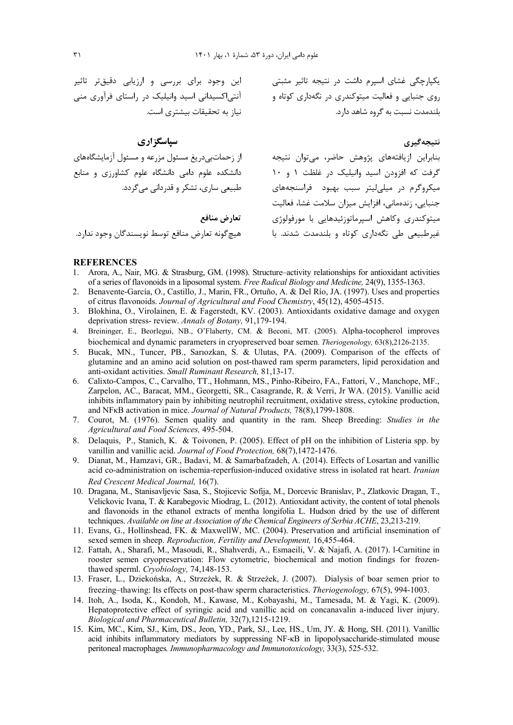یکپارچگی غشای اسپرم داشت در نتیجه تاثیر مثبتی این وجود برای بررسی و ارزیابی دقیقتر تاثیر روی جنبایی و فعالیت میتوکندری در نگهداری کوتاه و بلندمدت نسبت به گروه شاهد دارد.

آنتی|کسیدانی اسید وانیلیک در راستای فرآوری منی نیاز به تحقیقات بیشتری است.

# سیاسگزاری

از زحماتبیدریغ مسئول مزرعه و مسئول آزمایشگاههای دانشکده علوم دامی دانشگاه علوم کشاورزی و منابع طبیعی ساری، تشکر و قدردانی می گردد.

تعارض منافع

هيچگونه تعارض منافع توسط نويسندگان وجود ندارد.

#### **REFERENCES**

- Arora, A., Nair, MG. & Strasburg, GM. (1998). Structure–activity relationships for antioxidant activities  $\mathbf{1}$ . of a series of flavonoids in a liposomal system. Free Radical Biology and Medicine, 24(9), 1355-1363.
- $\mathcal{D}$ Benavente-García, O., Castillo, J., Marin, FR., Ortuño, A. & Del Río, JA. (1997). Uses and properties of citrus flavonoids. Journal of Agricultural and Food Chemistry, 45(12), 4505-4515.
- 3. Blokhina, O., Virolainen, E. & Fagerstedt, KV. (2003). Antioxidants oxidative damage and oxygen deprivation stress-review. Annals of Botany, 91,179-194.
- 4. Breininger, E., Beorlegui, NB., O'Flaherty, CM. & Beconi, MT. (2005). Alpha-tocopherol improves biochemical and dynamic parameters in cryopreserved boar semen. Theriogenology, 63(8),2126-2135.
- 5. Bucak, MN., Tuncer, PB., Sarıozkan, S. & Ulutas, PA. (2009). Comparison of the effects of glutamine and an amino acid solution on post-thawed ram sperm parameters, lipid peroxidation and anti-oxidant activities. Small Ruminant Research, 81,13-17.
- 6. Calixto-Campos, C., Carvalho, TT., Hohmann, MS., Pinho-Ribeiro, FA., Fattori, V., Manchope, MF., Zarpelon, AC., Baracat, MM., Georgetti, SR., Casagrande, R. & Verri, Jr WA. (2015). Vanillic acid inhibits inflammatory pain by inhibiting neutrophil recruitment, oxidative stress, cytokine production, and NF<sub>K</sub>B activation in mice. Journal of Natural Products, 78(8), 1799-1808.
- 7. Courot, M. (1976). Semen quality and quantity in the ram. Sheep Breeding: *Studies in the* Agricultural and Food Sciences, 495-504.
- 8. Delaquis, P., Stanich, K. & Toivonen, P. (2005). Effect of pH on the inhibition of Listeria spp. by vanillin and vanillic acid. Journal of Food Protection, 68(7), 1472-1476.
- 9. Dianat, M., Hamzavi, GR., Badavi, M. & Samarbafzadeh, A. (2014). Effects of Losartan and vanillic acid co-administration on ischemia-reperfusion-induced oxidative stress in isolated rat heart. Iranian Red Crescent Medical Journal, 16(7).
- 10. Dragana, M., Stanisavljevic Sasa, S., Stojicevic Sofija, M., Dorcevic Branislav, P., Zlatkovic Dragan, T., Velickovic Ivana, T. & Karabegovic Miodrag, L. (2012). Antioxidant activity, the content of total phenols and flavonoids in the ethanol extracts of mentha longifolia L. Hudson dried by the use of different techniques. Available on line at Association of the Chemical Engineers of Serbia ACHE, 23,213-219.
- 11. Evans, G., Hollinshead, FK. & MaxwellW, MC. (2004). Preservation and artificial insemination of sexed semen in sheep. Reproduction, Fertility and Development, 16,455-464.
- 12. Fattah, A., Sharafi, M., Masoudi, R., Shahverdi, A., Esmaeili, V. & Najafi, A. (2017). 1-Carnitine in rooster semen cryopreservation: Flow cytometric, biochemical and motion findings for frozenthawed sperml. Cryobiology, 74,148-153.
- 13. Fraser, L., Dziekońska, A., Strzeżek, R. & Strzeżek, J. (2007). Dialysis of boar semen prior to freezing–thawing: Its effects on post-thaw sperm characteristics. Theriogenology, 67(5), 994-1003.
- 14. Itoh, A., Isoda, K., Kondoh, M., Kawase, M., Kobayashi, M., Tamesada, M. & Yagi, K. (2009). Hepatoprotective effect of syringic acid and vanillic acid on concanavalin a-induced liver injury. Biological and Pharmaceutical Bulletin, 32(7),1215-1219.
- 15. Kim, MC., Kim, SJ., Kim, DS., Jeon, YD., Park, SJ., Lee, HS., Um, JY. & Hong, SH. (2011). Vanillic acid inhibits inflammatory mediators by suppressing NF-KB in lipopolysaccharide-stimulated mouse peritoneal macrophages. Immunopharmacology and Immunotoxicology, 33(3), 525-532.

نتىجەگىرى

بنابراین ازیافتههای پژوهش حاضر، می;توان نتیجه گرفت که افزودن اسید وانیلیک در غلظت ۱ و ۱۰ میکروگرم در میلی لیتر سبب بهبود فراسنجههای جنبايي، زندهماني، افزايش ميزان سلامت غشا، فعاليت

.<br>میتوکندری وکاهش اسیرماتوزئیدهایی با مورفولوژی

غیرطبیعی طی نگهداری کوتاه و بلندمدت شدند. با